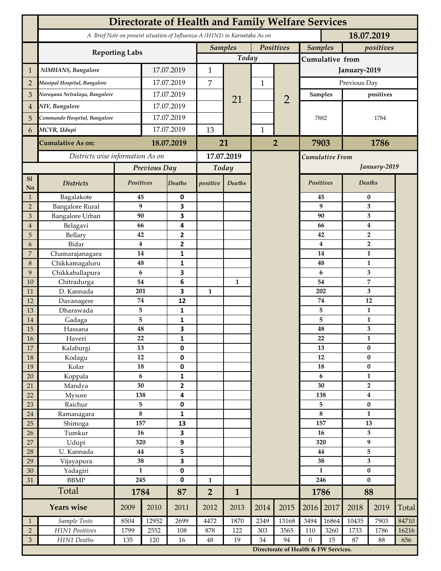|                     | <b>Directorate of Health and Family Welfare Services</b>                                 |                                  |            |                   |                             |                |              |                                      |                             |                        |                                    |              |       |  |
|---------------------|------------------------------------------------------------------------------------------|----------------------------------|------------|-------------------|-----------------------------|----------------|--------------|--------------------------------------|-----------------------------|------------------------|------------------------------------|--------------|-------|--|
|                     | A Brief Note on present situation of Influenza-A (H1N1) in Karnataka As on<br>18.07.2019 |                                  |            |                   |                             |                |              |                                      |                             |                        |                                    |              |       |  |
|                     | <b>Reporting Labs</b>                                                                    |                                  |            |                   | Positives<br><b>Samples</b> |                |              |                                      | <b>Samples</b><br>positives |                        |                                    |              |       |  |
|                     |                                                                                          |                                  |            | Today             |                             |                |              | Cumulative from                      |                             |                        |                                    |              |       |  |
| 1                   | NIMHANS, Bangalore                                                                       | 17.07.2019                       |            | $\mathbf{1}$      |                             |                |              | January-2019                         |                             |                        |                                    |              |       |  |
| $\overline{2}$      | Manipal Hospital, Bangalore                                                              |                                  | 17.07.2019 |                   | 7                           |                | $\mathbf{1}$ |                                      | Previous Day                |                        |                                    |              |       |  |
| 3                   | Narayana Netralaya, Bangalore                                                            |                                  | 17.07.2019 |                   |                             |                |              |                                      |                             | Samples                | positives                          |              |       |  |
| 4                   | NIV, Bangalore                                                                           |                                  | 17.07.2019 |                   |                             | 21             |              | $\overline{2}$                       | 7882                        |                        |                                    |              |       |  |
| 5                   | Commando Hospital, Bangalore                                                             |                                  | 17.07.2019 |                   |                             |                |              |                                      |                             |                        |                                    | 1784         |       |  |
|                     | MCVR, Udupi                                                                              |                                  | 17.07.2019 |                   | 13                          |                | $\mathbf{1}$ |                                      |                             |                        |                                    |              |       |  |
| 6                   |                                                                                          |                                  |            |                   |                             |                |              |                                      |                             |                        |                                    |              |       |  |
|                     | <b>Cumulative As on:</b>                                                                 | 18.07.2019                       |            | 21                |                             | $\overline{2}$ |              | 7903<br>1786                         |                             |                        |                                    |              |       |  |
|                     |                                                                                          | Districts wise information As on |            |                   | 17.07.2019                  |                |              |                                      | Cumulative From             |                        |                                    |              |       |  |
|                     |                                                                                          | <b>Previous Day</b>              |            |                   | Today                       |                |              |                                      |                             |                        | January-2019                       |              |       |  |
| <sub>S1</sub><br>No | <b>Districts</b>                                                                         | Positives                        |            | Deaths            | positive                    | Deaths         |              |                                      | Positives                   |                        | <b>Deaths</b>                      |              |       |  |
| $\mathbf{1}$        | Bagalakote                                                                               | 45                               |            | 0                 |                             |                |              |                                      | 45                          |                        | $\bf{0}$                           |              |       |  |
| $\overline{2}$      | <b>Bangalore Rural</b>                                                                   | 9                                |            | 3                 |                             |                |              |                                      |                             | 9                      | 3                                  |              |       |  |
| 3                   | <b>Bangalore Urban</b>                                                                   | 90<br>66                         |            | 3<br>4            |                             |                |              |                                      |                             | 90<br>66               | 3                                  |              |       |  |
| $\overline{4}$<br>5 | Belagavi<br>Bellary                                                                      | 42                               |            | 2                 |                             |                |              |                                      |                             | 42                     | $\boldsymbol{4}$<br>$\overline{2}$ |              |       |  |
| 6                   | Bidar                                                                                    | 4                                |            | 2                 |                             |                |              |                                      |                             | 4                      | $\overline{2}$                     |              |       |  |
| $\overline{7}$      | Chamarajanagara                                                                          | 14                               |            | 1                 |                             |                |              |                                      |                             | 14                     | 1                                  |              |       |  |
| 8                   | Chikkamagaluru                                                                           | 48                               |            | 1                 |                             |                |              |                                      |                             | 48                     |                                    | $\mathbf{1}$ |       |  |
| 9                   | Chikkaballapura                                                                          | 6                                |            | 3                 |                             |                |              |                                      |                             | 6                      |                                    | 3            |       |  |
| 10                  | Chitradurga                                                                              | 54                               |            | 6                 |                             | 1              |              | 54                                   |                             |                        |                                    | 7            |       |  |
| 11                  | D. Kannada                                                                               | 201                              |            | 3                 | $\mathbf{1}$                |                |              |                                      |                             | 202                    |                                    | 3            |       |  |
| 12                  | Davanagere                                                                               | 74                               |            | 12                |                             |                |              |                                      | 74<br>5                     |                        | 12                                 |              |       |  |
| 13<br>14            | Dharawada<br>Gadaga                                                                      | 5<br>5                           |            | 1<br>1            |                             |                |              |                                      | 5                           |                        | 1<br>1                             |              |       |  |
| 15                  | Hassana                                                                                  | 48                               |            | 3                 |                             |                |              |                                      |                             | 48                     | 3                                  |              |       |  |
| ı<br>16             | Haveri                                                                                   | 22                               |            | $\mathbf 1$       |                             |                |              |                                      | 22                          |                        | $\mathbf{1}$                       |              |       |  |
| 17                  | Kalaburgi                                                                                | 13                               |            | 0                 |                             |                |              |                                      |                             | 13                     | $\bf{0}$                           |              |       |  |
| 18                  | Kodagu                                                                                   | 12                               |            | 0                 |                             |                |              | 12                                   |                             | $\bf{0}$               |                                    |              |       |  |
| 19                  | Kolar                                                                                    | 18                               |            | 0                 |                             |                |              |                                      |                             | 18                     |                                    | $\pmb{0}$    |       |  |
| $20\,$              | Koppala                                                                                  | $\boldsymbol{6}$<br>30           |            | 1                 |                             |                |              |                                      |                             | $\boldsymbol{6}$<br>30 |                                    | $\mathbf{1}$ |       |  |
| 21<br>22            | Mandya<br>Mysore                                                                         | 138                              |            | $\mathbf{2}$<br>4 |                             |                |              |                                      | 138                         |                        | $\overline{2}$<br>$\boldsymbol{4}$ |              |       |  |
| 23                  | Raichur                                                                                  | 5                                |            | 0                 |                             |                |              |                                      |                             | 5                      |                                    | $\pmb{0}$    |       |  |
| 24                  | Ramanagara                                                                               | $\bf 8$                          |            | 1                 |                             |                |              |                                      | $\bf 8$                     |                        | $\mathbf{1}$                       |              |       |  |
| 25                  | Shimoga                                                                                  | 157                              |            | 13                |                             |                |              |                                      | 157                         |                        | 13                                 |              |       |  |
| 26                  | Tumkur                                                                                   | 16                               |            | 3                 |                             |                |              |                                      | 16                          |                        | 3                                  |              |       |  |
| 27                  | Udupi                                                                                    | 320                              |            | 9                 |                             |                |              |                                      | 320                         |                        | 9                                  |              |       |  |
| 28                  | U. Kannada                                                                               | $\bf 44$                         |            | 5                 |                             |                |              |                                      | 44                          |                        | 5                                  |              |       |  |
| 29                  | Vijayapura                                                                               | 38<br>$\mathbf{1}$               |            | 3                 |                             |                |              |                                      | 38<br>$\mathbf{1}$          |                        | 3                                  |              |       |  |
| $30\,$<br>31        | Yadagiri<br><b>BBMP</b>                                                                  | 245                              |            | 0<br>$\mathbf 0$  | $\mathbf{1}$                |                |              |                                      | 246                         |                        | $\bf{0}$<br>$\bf{0}$               |              |       |  |
|                     | Total                                                                                    |                                  | 1784       |                   | $\overline{2}$              | $\mathbf{1}$   |              |                                      | 1786                        |                        | 88                                 |              |       |  |
|                     | <b>Years wise</b>                                                                        |                                  | 2010       | 87<br>2011        | 2012                        | 2013           | 2014         | 2015                                 | 2016                        | 2017                   | 2018                               | 2019         | Total |  |
| $\overline{1}$      | Sample Tests                                                                             | 2009<br>8504                     | 12952      | 2699              | 4472                        | 1870           | 2349         | 13168                                | 3494                        | 16864                  | 10435                              | 7903         | 84710 |  |
| $\overline{2}$      | H1N1 Positives                                                                           | 1799                             | 2552       | 108               | 878                         | 122            | 303          | 3565                                 | 110                         | 3260                   | 1733                               | 1786         | 16216 |  |
| $\sqrt{3}$          | H1N1 Deaths                                                                              | 135                              | 120        | 16                | $\rm 48$                    | 19             | 34           | 94                                   | $\boldsymbol{0}$            | 15                     | 87                                 | $88\,$       | 656   |  |
|                     |                                                                                          |                                  |            |                   |                             |                |              | Directorate of Health & FW Services. |                             |                        |                                    |              |       |  |